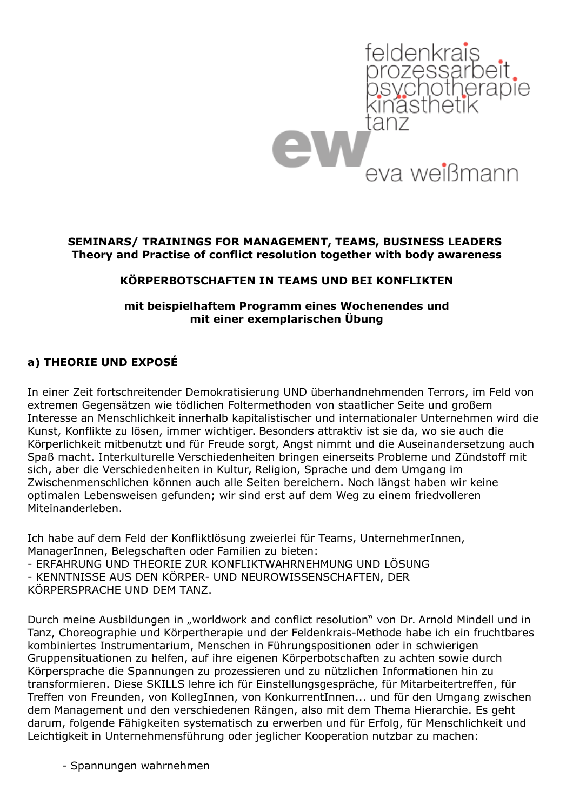

#### **SEMINARS/ TRAININGS FOR MANAGEMENT, TEAMS, BUSINESS LEADERS Theory and Practise of conflict resolution together with body awareness**

### **KÖRPERBOTSCHAFTEN IN TEAMS UND BEI KONFLIKTEN**

#### **mit beispielhaftem Programm eines Wochenendes und mit einer exemplarischen Übung**

### **a) THEORIE UND EXPOSÉ**

In einer Zeit fortschreitender Demokratisierung UND überhandnehmenden Terrors, im Feld von extremen Gegensätzen wie tödlichen Foltermethoden von staatlicher Seite und großem Interesse an Menschlichkeit innerhalb kapitalistischer und internationaler Unternehmen wird die Kunst, Konflikte zu lösen, immer wichtiger. Besonders attraktiv ist sie da, wo sie auch die Körperlichkeit mitbenutzt und für Freude sorgt, Angst nimmt und die Auseinandersetzung auch Spaß macht. Interkulturelle Verschiedenheiten bringen einerseits Probleme und Zündstoff mit sich, aber die Verschiedenheiten in Kultur, Religion, Sprache und dem Umgang im Zwischenmenschlichen können auch alle Seiten bereichern. Noch längst haben wir keine optimalen Lebensweisen gefunden; wir sind erst auf dem Weg zu einem friedvolleren Miteinanderleben.

Ich habe auf dem Feld der Konfliktlösung zweierlei für Teams, UnternehmerInnen, ManagerInnen, Belegschaften oder Familien zu bieten: - ERFAHRUNG UND THEORIE ZUR KONFLIKTWAHRNEHMUNG UND LÖSUNG - KENNTNISSE AUS DEN KÖRPER- UND NEUROWISSENSCHAFTEN, DER KÖRPERSPRACHE UND DEM TANZ.

Durch meine Ausbildungen in "worldwork and conflict resolution" von Dr. Arnold Mindell und in Tanz, Choreographie und Körpertherapie und der Feldenkrais-Methode habe ich ein fruchtbares kombiniertes Instrumentarium, Menschen in Führungspositionen oder in schwierigen Gruppensituationen zu helfen, auf ihre eigenen Körperbotschaften zu achten sowie durch Körpersprache die Spannungen zu prozessieren und zu nützlichen Informationen hin zu transformieren. Diese SKILLS lehre ich für Einstellungsgespräche, für Mitarbeitertreffen, für Treffen von Freunden, von KollegInnen, von KonkurrentInnen... und für den Umgang zwischen dem Management und den verschiedenen Rängen, also mit dem Thema Hierarchie. Es geht darum, folgende Fähigkeiten systematisch zu erwerben und für Erfolg, für Menschlichkeit und Leichtigkeit in Unternehmensführung oder jeglicher Kooperation nutzbar zu machen:

- Spannungen wahrnehmen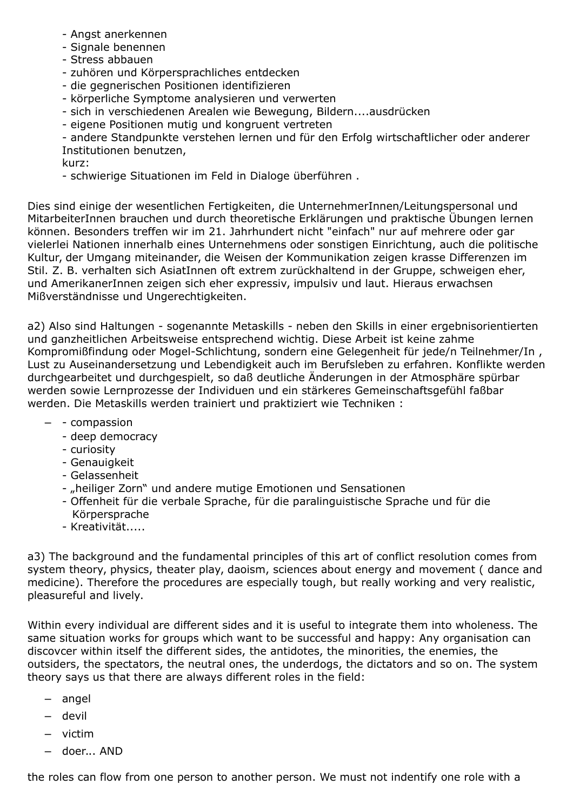- Angst anerkennen
- Signale benennen
- Stress abbauen
- zuhören und Körpersprachliches entdecken
- die gegnerischen Positionen identifizieren
- körperliche Symptome analysieren und verwerten
- sich in verschiedenen Arealen wie Bewegung, Bildern....ausdrücken
- eigene Positionen mutig und kongruent vertreten

- andere Standpunkte verstehen lernen und für den Erfolg wirtschaftlicher oder anderer Institutionen benutzen,

kurz:

- schwierige Situationen im Feld in Dialoge überführen .

Dies sind einige der wesentlichen Fertigkeiten, die UnternehmerInnen/Leitungspersonal und MitarbeiterInnen brauchen und durch theoretische Erklärungen und praktische Übungen lernen können. Besonders treffen wir im 21. Jahrhundert nicht "einfach" nur auf mehrere oder gar vielerlei Nationen innerhalb eines Unternehmens oder sonstigen Einrichtung, auch die politische Kultur, der Umgang miteinander, die Weisen der Kommunikation zeigen krasse Differenzen im Stil. Z. B. verhalten sich AsiatInnen oft extrem zurückhaltend in der Gruppe, schweigen eher, und AmerikanerInnen zeigen sich eher expressiv, impulsiv und laut. Hieraus erwachsen Mißverständnisse und Ungerechtigkeiten.

a2) Also sind Haltungen - sogenannte Metaskills - neben den Skills in einer ergebnisorientierten und ganzheitlichen Arbeitsweise entsprechend wichtig. Diese Arbeit ist keine zahme Kompromißfindung oder Mogel-Schlichtung, sondern eine Gelegenheit für jede/n Teilnehmer/In , Lust zu Auseinandersetzung und Lebendigkeit auch im Berufsleben zu erfahren. Konflikte werden durchgearbeitet und durchgespielt, so daß deutliche Änderungen in der Atmosphäre spürbar werden sowie Lernprozesse der Individuen und ein stärkeres Gemeinschaftsgefühl faßbar werden. Die Metaskills werden trainiert und praktiziert wie Techniken :

- - compassion
	- deep democracy
	- curiosity
	- Genauigkeit
	- Gelassenheit
	- "heiliger Zorn" und andere mutige Emotionen und Sensationen
	- Offenheit für die verbale Sprache, für die paralinguistische Sprache und für die Körpersprache
	- Kreativität.....

a3) The background and the fundamental principles of this art of conflict resolution comes from system theory, physics, theater play, daoism, sciences about energy and movement ( dance and medicine). Therefore the procedures are especially tough, but really working and very realistic, pleasureful and lively.

Within every individual are different sides and it is useful to integrate them into wholeness. The same situation works for groups which want to be successful and happy: Any organisation can discovcer within itself the different sides, the antidotes, the minorities, the enemies, the outsiders, the spectators, the neutral ones, the underdogs, the dictators and so on. The system theory says us that there are always different roles in the field:

- angel
- devil
- victim
- doer... AND

the roles can flow from one person to another person. We must not indentify one role with a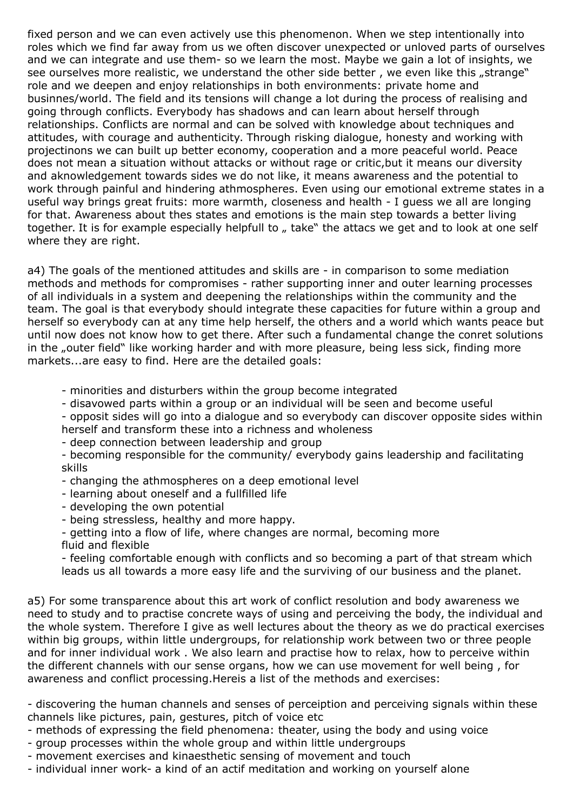fixed person and we can even actively use this phenomenon. When we step intentionally into roles which we find far away from us we often discover unexpected or unloved parts of ourselves and we can integrate and use them- so we learn the most. Maybe we gain a lot of insights, we see ourselves more realistic, we understand the other side better, we even like this "strange" role and we deepen and enjoy relationships in both environments: private home and businnes/world. The field and its tensions will change a lot during the process of realising and going through conflicts. Everybody has shadows and can learn about herself through relationships. Conflicts are normal and can be solved with knowledge about techniques and attitudes, with courage and authenticity. Through risking dialogue, honesty and working with projectinons we can built up better economy, cooperation and a more peaceful world. Peace does not mean a situation without attacks or without rage or critic,but it means our diversity and aknowledgement towards sides we do not like, it means awareness and the potential to work through painful and hindering athmospheres. Even using our emotional extreme states in a useful way brings great fruits: more warmth, closeness and health - I guess we all are longing for that. Awareness about thes states and emotions is the main step towards a better living together. It is for example especially helpfull to  $\mu$  take" the attacs we get and to look at one self where they are right.

a4) The goals of the mentioned attitudes and skills are - in comparison to some mediation methods and methods for compromises - rather supporting inner and outer learning processes of all individuals in a system and deepening the relationships within the community and the team. The goal is that everybody should integrate these capacities for future within a group and herself so everybody can at any time help herself, the others and a world which wants peace but until now does not know how to get there. After such a fundamental change the conret solutions in the "outer field" like working harder and with more pleasure, being less sick, finding more markets...are easy to find. Here are the detailed goals:

- minorities and disturbers within the group become integrated
- disavowed parts within a group or an individual will be seen and become useful
- opposit sides will go into a dialogue and so everybody can discover opposite sides within herself and transform these into a richness and wholeness
- deep connection between leadership and group
- becoming responsible for the community/ everybody gains leadership and facilitating skills
- changing the athmospheres on a deep emotional level
- learning about oneself and a fullfilled life
- developing the own potential
- being stressless, healthy and more happy.
- getting into a flow of life, where changes are normal, becoming more
- fluid and flexible

- feeling comfortable enough with conflicts and so becoming a part of that stream which leads us all towards a more easy life and the surviving of our business and the planet.

a5) For some transparence about this art work of conflict resolution and body awareness we need to study and to practise concrete ways of using and perceiving the body, the individual and the whole system. Therefore I give as well lectures about the theory as we do practical exercises within big groups, within little undergroups, for relationship work between two or three people and for inner individual work . We also learn and practise how to relax, how to perceive within the different channels with our sense organs, how we can use movement for well being , for awareness and conflict processing.Hereis a list of the methods and exercises:

- discovering the human channels and senses of perceiption and perceiving signals within these channels like pictures, pain, gestures, pitch of voice etc

- methods of expressing the field phenomena: theater, using the body and using voice
- group processes within the whole group and within little undergroups
- movement exercises and kinaesthetic sensing of movement and touch
- individual inner work- a kind of an actif meditation and working on yourself alone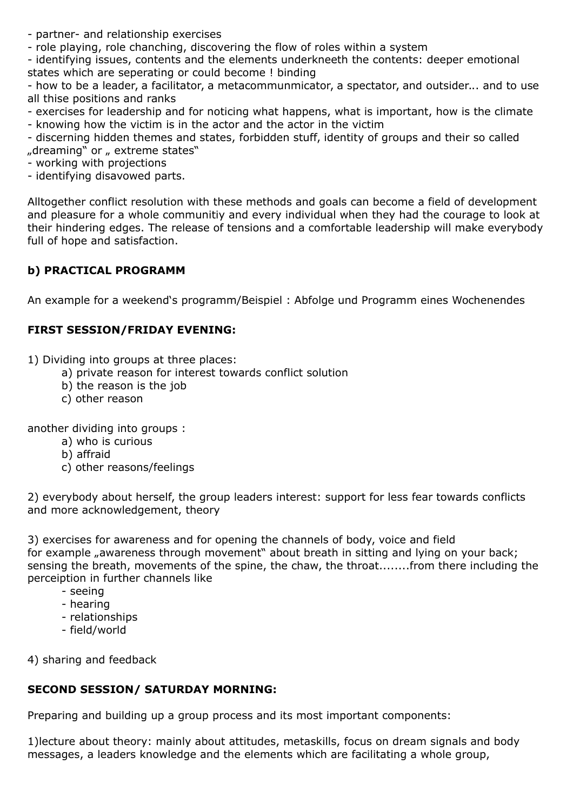- partner- and relationship exercises
- role playing, role chanching, discovering the flow of roles within a system

- identifying issues, contents and the elements underkneeth the contents: deeper emotional states which are seperating or could become ! binding

- how to be a leader, a facilitator, a metacommunmicator, a spectator, and outsider... and to use all thise positions and ranks

- exercises for leadership and for noticing what happens, what is important, how is the climate
- knowing how the victim is in the actor and the actor in the victim
- discerning hidden themes and states, forbidden stuff, identity of groups and their so called "dreaming" or " extreme states"
- working with projections
- identifying disavowed parts.

Alltogether conflict resolution with these methods and goals can become a field of development and pleasure for a whole communitiy and every individual when they had the courage to look at their hindering edges. The release of tensions and a comfortable leadership will make everybody full of hope and satisfaction.

# **b) PRACTICAL PROGRAMM**

An example for a weekend's programm/Beispiel : Abfolge und Programm eines Wochenendes

# **FIRST SESSION/FRIDAY EVENING:**

1) Dividing into groups at three places:

- a) private reason for interest towards conflict solution
- b) the reason is the job
- c) other reason

another dividing into groups :

- a) who is curious
- b) affraid
- c) other reasons/feelings

2) everybody about herself, the group leaders interest: support for less fear towards conflicts and more acknowledgement, theory

3) exercises for awareness and for opening the channels of body, voice and field for example "awareness through movement" about breath in sitting and lying on your back; sensing the breath, movements of the spine, the chaw, the throat........from there including the perceiption in further channels like

- seeing
- hearing
- relationships
- field/world

4) sharing and feedback

# **SECOND SESSION/ SATURDAY MORNING:**

Preparing and building up a group process and its most important components:

1)lecture about theory: mainly about attitudes, metaskills, focus on dream signals and body messages, a leaders knowledge and the elements which are facilitating a whole group,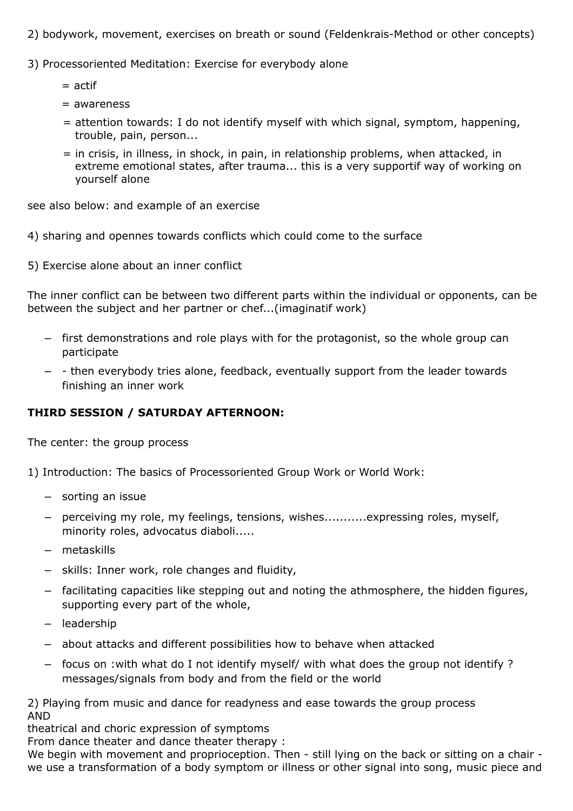- 2) bodywork, movement, exercises on breath or sound (Feldenkrais-Method or other concepts)
- 3) Processoriented Meditation: Exercise for everybody alone
	- $=$  actif
	- = awareness
	- = attention towards: I do not identify myself with which signal, symptom, happening, trouble, pain, person...
	- = in crisis, in illness, in shock, in pain, in relationship problems, when attacked, in extreme emotional states, after trauma... this is a very supportif way of working on yourself alone

see also below: and example of an exercise

4) sharing and opennes towards conflicts which could come to the surface

5) Exercise alone about an inner conflict

The inner conflict can be between two different parts within the individual or opponents, can be between the subject and her partner or chef...(imaginatif work)

- first demonstrations and role plays with for the protagonist, so the whole group can participate
- - then everybody tries alone, feedback, eventually support from the leader towards finishing an inner work

# **THIRD SESSION / SATURDAY AFTERNOON:**

The center: the group process

1) Introduction: The basics of Processoriented Group Work or World Work:

- sorting an issue
- perceiving my role, my feelings, tensions, wishes...........expressing roles, myself, minority roles, advocatus diaboli.....
- metaskills
- skills: Inner work, role changes and fluidity,
- facilitating capacities like stepping out and noting the athmosphere, the hidden figures, supporting every part of the whole,
- leadership
- about attacks and different possibilities how to behave when attacked
- focus on :with what do I not identify myself/ with what does the group not identify ? messages/signals from body and from the field or the world

2) Playing from music and dance for readyness and ease towards the group process AND

theatrical and choric expression of symptoms

From dance theater and dance theater therapy :

We begin with movement and proprioception. Then - still lying on the back or sitting on a chair we use a transformation of a body symptom or illness or other signal into song, music piece and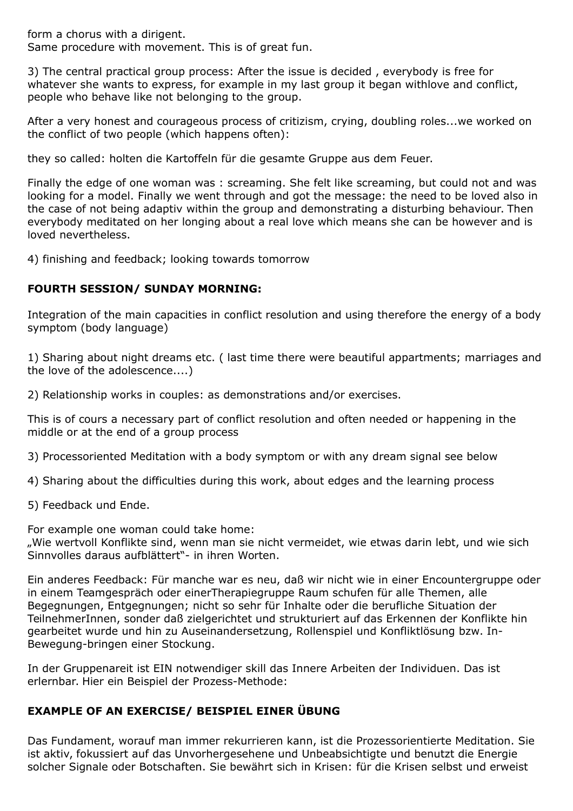form a chorus with a dirigent.

Same procedure with movement. This is of great fun.

3) The central practical group process: After the issue is decided , everybody is free for whatever she wants to express, for example in my last group it began withlove and conflict, people who behave like not belonging to the group.

After a very honest and courageous process of critizism, crying, doubling roles...we worked on the conflict of two people (which happens often):

they so called: holten die Kartoffeln für die gesamte Gruppe aus dem Feuer.

Finally the edge of one woman was : screaming. She felt like screaming, but could not and was looking for a model. Finally we went through and got the message: the need to be loved also in the case of not being adaptiv within the group and demonstrating a disturbing behaviour. Then everybody meditated on her longing about a real love which means she can be however and is loved nevertheless.

4) finishing and feedback; looking towards tomorrow

### **FOURTH SESSION/ SUNDAY MORNING:**

Integration of the main capacities in conflict resolution and using therefore the energy of a body symptom (body language)

1) Sharing about night dreams etc. ( last time there were beautiful appartments; marriages and the love of the adolescence....)

2) Relationship works in couples: as demonstrations and/or exercises.

This is of cours a necessary part of conflict resolution and often needed or happening in the middle or at the end of a group process

3) Processoriented Meditation with a body symptom or with any dream signal see below

- 4) Sharing about the difficulties during this work, about edges and the learning process
- 5) Feedback und Ende.

For example one woman could take home:

"Wie wertvoll Konflikte sind, wenn man sie nicht vermeidet, wie etwas darin lebt, und wie sich Sinnvolles daraus aufblättert"- in ihren Worten.

Ein anderes Feedback: Für manche war es neu, daß wir nicht wie in einer Encountergruppe oder in einem Teamgespräch oder einerTherapiegruppe Raum schufen für alle Themen, alle Begegnungen, Entgegnungen; nicht so sehr für Inhalte oder die berufliche Situation der TeilnehmerInnen, sonder daß zielgerichtet und strukturiert auf das Erkennen der Konflikte hin gearbeitet wurde und hin zu Auseinandersetzung, Rollenspiel und Konfliktlösung bzw. In-Bewegung-bringen einer Stockung.

In der Gruppenareit ist EIN notwendiger skill das Innere Arbeiten der Individuen. Das ist erlernbar. Hier ein Beispiel der Prozess-Methode:

#### **EXAMPLE OF AN EXERCISE/ BEISPIEL EINER ÜBUNG**

Das Fundament, worauf man immer rekurrieren kann, ist die Prozessorientierte Meditation. Sie ist aktiv, fokussiert auf das Unvorhergesehene und Unbeabsichtigte und benutzt die Energie solcher Signale oder Botschaften. Sie bewährt sich in Krisen: für die Krisen selbst und erweist